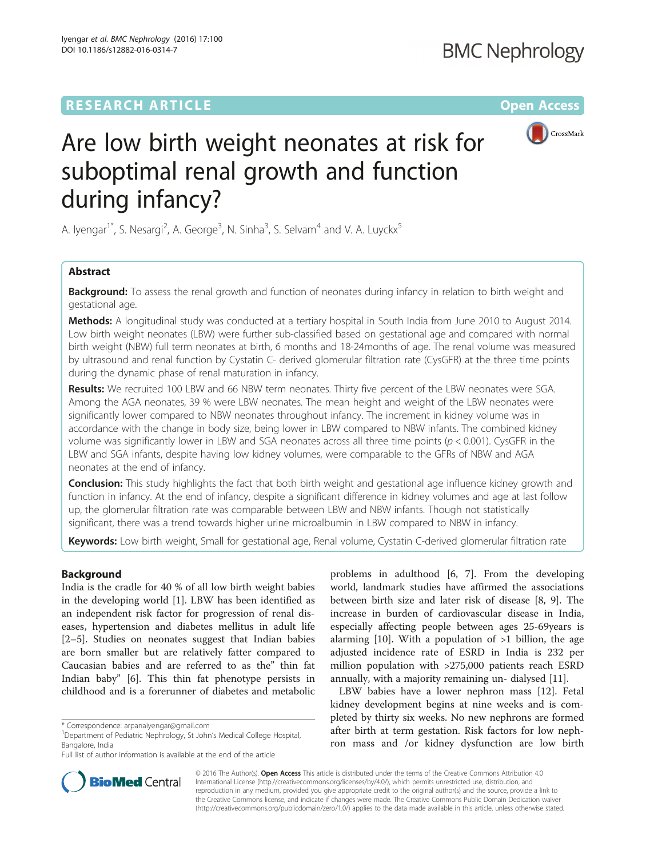## **RESEARCH ARTICLE Example 2014 12:30 The Contract of Contract ACCESS**



# Are low birth weight neonates at risk for suboptimal renal growth and function during infancy?

A. Iyengar<sup>1\*</sup>, S. Nesargi<sup>2</sup>, A. George<sup>3</sup>, N. Sinha<sup>3</sup>, S. Selvam<sup>4</sup> and V. A. Luyckx<sup>5</sup>

## Abstract

**Background:** To assess the renal growth and function of neonates during infancy in relation to birth weight and gestational age.

Methods: A longitudinal study was conducted at a tertiary hospital in South India from June 2010 to August 2014. Low birth weight neonates (LBW) were further sub-classified based on gestational age and compared with normal birth weight (NBW) full term neonates at birth, 6 months and 18-24months of age. The renal volume was measured by ultrasound and renal function by Cystatin C- derived glomerular filtration rate (CysGFR) at the three time points during the dynamic phase of renal maturation in infancy.

Results: We recruited 100 LBW and 66 NBW term neonates. Thirty five percent of the LBW neonates were SGA. Among the AGA neonates, 39 % were LBW neonates. The mean height and weight of the LBW neonates were significantly lower compared to NBW neonates throughout infancy. The increment in kidney volume was in accordance with the change in body size, being lower in LBW compared to NBW infants. The combined kidney volume was significantly lower in LBW and SGA neonates across all three time points ( $p < 0.001$ ). CysGFR in the LBW and SGA infants, despite having low kidney volumes, were comparable to the GFRs of NBW and AGA neonates at the end of infancy.

**Conclusion:** This study highlights the fact that both birth weight and gestational age influence kidney growth and function in infancy. At the end of infancy, despite a significant difference in kidney volumes and age at last follow up, the glomerular filtration rate was comparable between LBW and NBW infants. Though not statistically significant, there was a trend towards higher urine microalbumin in LBW compared to NBW in infancy.

Keywords: Low birth weight, Small for gestational age, Renal volume, Cystatin C-derived glomerular filtration rate

## Background

India is the cradle for 40 % of all low birth weight babies in the developing world [\[1](#page-7-0)]. LBW has been identified as an independent risk factor for progression of renal diseases, hypertension and diabetes mellitus in adult life [[2](#page-7-0)–[5\]](#page-7-0). Studies on neonates suggest that Indian babies are born smaller but are relatively fatter compared to Caucasian babies and are referred to as the" thin fat Indian baby" [\[6](#page-8-0)]. This thin fat phenotype persists in childhood and is a forerunner of diabetes and metabolic

problems in adulthood [\[6](#page-8-0), [7](#page-8-0)]. From the developing world, landmark studies have affirmed the associations between birth size and later risk of disease [\[8](#page-8-0), [9\]](#page-8-0). The increase in burden of cardiovascular disease in India, especially affecting people between ages 25-69years is alarming  $[10]$  $[10]$ . With a population of  $>1$  billion, the age adjusted incidence rate of ESRD in India is 232 per million population with >275,000 patients reach ESRD annually, with a majority remaining un- dialysed [\[11](#page-8-0)].

LBW babies have a lower nephron mass [[12\]](#page-8-0). Fetal kidney development begins at nine weeks and is completed by thirty six weeks. No new nephrons are formed after birth at term gestation. Risk factors for low nephron mass and /or kidney dysfunction are low birth



© 2016 The Author(s). Open Access This article is distributed under the terms of the Creative Commons Attribution 4.0 International License [\(http://creativecommons.org/licenses/by/4.0/](http://creativecommons.org/licenses/by/4.0/)), which permits unrestricted use, distribution, and reproduction in any medium, provided you give appropriate credit to the original author(s) and the source, provide a link to the Creative Commons license, and indicate if changes were made. The Creative Commons Public Domain Dedication waiver [\(http://creativecommons.org/publicdomain/zero/1.0/](http://creativecommons.org/publicdomain/zero/1.0/)) applies to the data made available in this article, unless otherwise stated.

<sup>\*</sup> Correspondence: [arpanaiyengar@gmail.com](mailto:arpanaiyengar@gmail.com) <sup>1</sup>

<sup>&</sup>lt;sup>1</sup>Department of Pediatric Nephrology, St John's Medical College Hospital, Bangalore, India

Full list of author information is available at the end of the article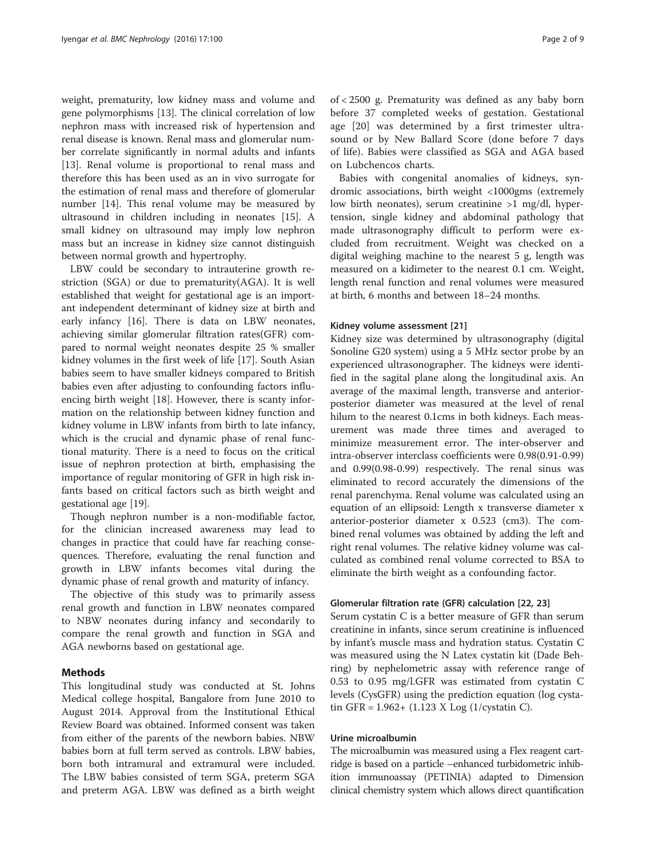weight, prematurity, low kidney mass and volume and gene polymorphisms [\[13\]](#page-8-0). The clinical correlation of low nephron mass with increased risk of hypertension and renal disease is known. Renal mass and glomerular number correlate significantly in normal adults and infants [[13\]](#page-8-0). Renal volume is proportional to renal mass and therefore this has been used as an in vivo surrogate for the estimation of renal mass and therefore of glomerular number [[14\]](#page-8-0). This renal volume may be measured by ultrasound in children including in neonates [[15](#page-8-0)]. A small kidney on ultrasound may imply low nephron mass but an increase in kidney size cannot distinguish between normal growth and hypertrophy.

LBW could be secondary to intrauterine growth restriction (SGA) or due to prematurity(AGA). It is well established that weight for gestational age is an important independent determinant of kidney size at birth and early infancy [[16\]](#page-8-0). There is data on LBW neonates, achieving similar glomerular filtration rates(GFR) compared to normal weight neonates despite 25 % smaller kidney volumes in the first week of life [\[17](#page-8-0)]. South Asian babies seem to have smaller kidneys compared to British babies even after adjusting to confounding factors influencing birth weight [\[18\]](#page-8-0). However, there is scanty information on the relationship between kidney function and kidney volume in LBW infants from birth to late infancy, which is the crucial and dynamic phase of renal functional maturity. There is a need to focus on the critical issue of nephron protection at birth, emphasising the importance of regular monitoring of GFR in high risk infants based on critical factors such as birth weight and gestational age [[19\]](#page-8-0).

Though nephron number is a non-modifiable factor, for the clinician increased awareness may lead to changes in practice that could have far reaching consequences. Therefore, evaluating the renal function and growth in LBW infants becomes vital during the dynamic phase of renal growth and maturity of infancy.

The objective of this study was to primarily assess renal growth and function in LBW neonates compared to NBW neonates during infancy and secondarily to compare the renal growth and function in SGA and AGA newborns based on gestational age.

## Methods

This longitudinal study was conducted at St. Johns Medical college hospital, Bangalore from June 2010 to August 2014. Approval from the Institutional Ethical Review Board was obtained. Informed consent was taken from either of the parents of the newborn babies. NBW babies born at full term served as controls. LBW babies, born both intramural and extramural were included. The LBW babies consisted of term SGA, preterm SGA and preterm AGA. LBW was defined as a birth weight of < 2500 g. Prematurity was defined as any baby born before 37 completed weeks of gestation. Gestational age [[20\]](#page-8-0) was determined by a first trimester ultrasound or by New Ballard Score (done before 7 days of life). Babies were classified as SGA and AGA based on Lubchencos charts.

Babies with congenital anomalies of kidneys, syndromic associations, birth weight <1000gms (extremely low birth neonates), serum creatinine >1 mg/dl, hypertension, single kidney and abdominal pathology that made ultrasonography difficult to perform were excluded from recruitment. Weight was checked on a digital weighing machine to the nearest 5 g, length was measured on a kidimeter to the nearest 0.1 cm. Weight, length renal function and renal volumes were measured at birth, 6 months and between 18–24 months.

## Kidney volume assessment [\[21](#page-8-0)]

Kidney size was determined by ultrasonography (digital Sonoline G20 system) using a 5 MHz sector probe by an experienced ultrasonographer. The kidneys were identified in the sagital plane along the longitudinal axis. An average of the maximal length, transverse and anteriorposterior diameter was measured at the level of renal hilum to the nearest 0.1cms in both kidneys. Each measurement was made three times and averaged to minimize measurement error. The inter-observer and intra-observer interclass coefficients were 0.98(0.91-0.99) and 0.99(0.98-0.99) respectively. The renal sinus was eliminated to record accurately the dimensions of the renal parenchyma. Renal volume was calculated using an equation of an ellipsoid: Length x transverse diameter x anterior-posterior diameter x 0.523 (cm3). The combined renal volumes was obtained by adding the left and right renal volumes. The relative kidney volume was calculated as combined renal volume corrected to BSA to eliminate the birth weight as a confounding factor.

## Glomerular filtration rate (GFR) calculation [\[22, 23\]](#page-8-0)

Serum cystatin C is a better measure of GFR than serum creatinine in infants, since serum creatinine is influenced by infant's muscle mass and hydration status. Cystatin C was measured using the N Latex cystatin kit (Dade Behring) by nephelometric assay with reference range of 0.53 to 0.95 mg/l.GFR was estimated from cystatin C levels (CysGFR) using the prediction equation (log cystatin GFR =  $1.962 + (1.123 \text{ X Log } (1/\text{cystatin } C)).$ 

## Urine microalbumin

The microalbumin was measured using a Flex reagent cartridge is based on a particle –enhanced turbidometric inhibition immunoassay (PETINIA) adapted to Dimension clinical chemistry system which allows direct quantification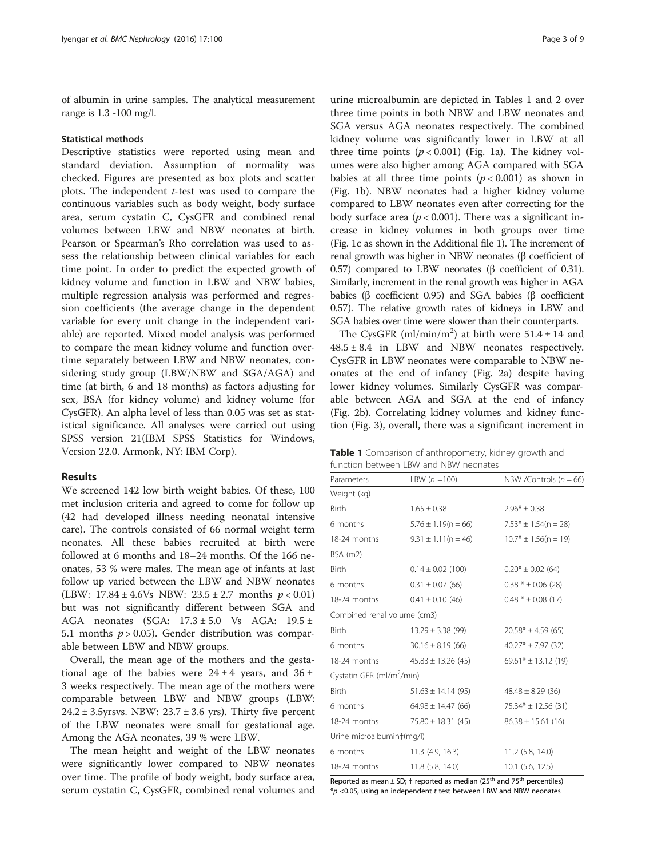<span id="page-2-0"></span>of albumin in urine samples. The analytical measurement range is 1.3 -100 mg/l.

#### Statistical methods

Descriptive statistics were reported using mean and standard deviation. Assumption of normality was checked. Figures are presented as box plots and scatter plots. The independent  $t$ -test was used to compare the continuous variables such as body weight, body surface area, serum cystatin C, CysGFR and combined renal volumes between LBW and NBW neonates at birth. Pearson or Spearman's Rho correlation was used to assess the relationship between clinical variables for each time point. In order to predict the expected growth of kidney volume and function in LBW and NBW babies, multiple regression analysis was performed and regression coefficients (the average change in the dependent variable for every unit change in the independent variable) are reported. Mixed model analysis was performed to compare the mean kidney volume and function overtime separately between LBW and NBW neonates, considering study group (LBW/NBW and SGA/AGA) and time (at birth, 6 and 18 months) as factors adjusting for sex, BSA (for kidney volume) and kidney volume (for CysGFR). An alpha level of less than 0.05 was set as statistical significance. All analyses were carried out using SPSS version 21(IBM SPSS Statistics for Windows, Version 22.0. Armonk, NY: IBM Corp).

## Results

We screened 142 low birth weight babies. Of these, 100 met inclusion criteria and agreed to come for follow up (42 had developed illness needing neonatal intensive care). The controls consisted of 66 normal weight term neonates. All these babies recruited at birth were followed at 6 months and 18–24 months. Of the 166 neonates, 53 % were males. The mean age of infants at last follow up varied between the LBW and NBW neonates (LBW:  $17.84 \pm 4.6$ Vs NBW:  $23.5 \pm 2.7$  months  $p < 0.01$ ) but was not significantly different between SGA and AGA neonates (SGA: 17.3 ± 5.0 Vs AGA: 19.5 ± 5.1 months  $p > 0.05$ ). Gender distribution was comparable between LBW and NBW groups.

Overall, the mean age of the mothers and the gestational age of the babies were  $24 \pm 4$  years, and  $36 \pm$ 3 weeks respectively. The mean age of the mothers were comparable between LBW and NBW groups (LBW: 24.2  $\pm$  3.5 yrsvs. NBW: 23.7  $\pm$  3.6 yrs). Thirty five percent of the LBW neonates were small for gestational age. Among the AGA neonates, 39 % were LBW.

The mean height and weight of the LBW neonates were significantly lower compared to NBW neonates over time. The profile of body weight, body surface area, serum cystatin C, CysGFR, combined renal volumes and

urine microalbumin are depicted in Tables 1 and [2](#page-3-0) over three time points in both NBW and LBW neonates and SGA versus AGA neonates respectively. The combined kidney volume was significantly lower in LBW at all three time points  $(p < 0.001)$  (Fig. [1a](#page-4-0)). The kidney volumes were also higher among AGA compared with SGA babies at all three time points  $(p < 0.001)$  as shown in (Fig. [1b](#page-4-0)). NBW neonates had a higher kidney volume compared to LBW neonates even after correcting for the body surface area ( $p < 0.001$ ). There was a significant increase in kidney volumes in both groups over time (Fig. [1c](#page-4-0) as shown in the Additional file [1](#page-7-0)). The increment of renal growth was higher in NBW neonates (β coefficient of 0.57) compared to LBW neonates (β coefficient of 0.31). Similarly, increment in the renal growth was higher in AGA babies (β coefficient 0.95) and SGA babies (β coefficient 0.57). The relative growth rates of kidneys in LBW and SGA babies over time were slower than their counterparts.

The CysGFR (ml/min/m<sup>2</sup>) at birth were  $51.4 \pm 14$  and  $48.5 \pm 8.4$  in LBW and NBW neonates respectively. CysGFR in LBW neonates were comparable to NBW neonates at the end of infancy (Fig. [2a](#page-5-0)) despite having lower kidney volumes. Similarly CysGFR was comparable between AGA and SGA at the end of infancy (Fig. [2b\)](#page-5-0). Correlating kidney volumes and kidney function (Fig. [3\)](#page-6-0), overall, there was a significant increment in

| Table 1 Comparison of anthropometry, kidney growth and |  |
|--------------------------------------------------------|--|
| function between LBW and NBW neonates                  |  |

| Parameters                            | LBW $(n = 100)$         | NBW /Controls ( $n = 66$ ) |  |  |  |
|---------------------------------------|-------------------------|----------------------------|--|--|--|
| Weight (kg)                           |                         |                            |  |  |  |
| Birth                                 | $1.65 \pm 0.38$         | $2.96* \pm 0.38$           |  |  |  |
| 6 months                              | $5.76 \pm 1.19(n = 66)$ | $7.53* \pm 1.54(n = 28)$   |  |  |  |
| 18-24 months                          | $9.31 \pm 1.11(n = 46)$ | $10.7* \pm 1.56(n = 19)$   |  |  |  |
| $BSA$ (m2)                            |                         |                            |  |  |  |
| <b>Birth</b>                          | $0.14 \pm 0.02$ (100)   | $0.20* \pm 0.02$ (64)      |  |  |  |
| 6 months                              | $0.31 \pm 0.07$ (66)    | $0.38 * ± 0.06 (28)$       |  |  |  |
| 18-24 months                          | $0.41 \pm 0.10$ (46)    | $0.48 * ± 0.08(17)$        |  |  |  |
| Combined renal volume (cm3)           |                         |                            |  |  |  |
| <b>Birth</b>                          | $13.29 \pm 3.38$ (99)   | $20.58* \pm 4.59(65)$      |  |  |  |
| 6 months                              | $30.16 \pm 8.19(66)$    | $40.27* \pm 7.97$ (32)     |  |  |  |
| 18-24 months                          | $45.83 \pm 13.26$ (45)  | $69.61* \pm 13.12(19)$     |  |  |  |
| Cystatin GFR (ml/m <sup>2</sup> /min) |                         |                            |  |  |  |
| <b>Birth</b>                          | $51.63 \pm 14.14$ (95)  | $48.48 \pm 8.29$ (36)      |  |  |  |
| 6 months                              | $64.98 \pm 14.47$ (66)  | $75.34* \pm 12.56$ (31)    |  |  |  |
| 18-24 months                          | $75.80 \pm 18.31(45)$   | $86.38 \pm 15.61$ (16)     |  |  |  |
| Urine microalbumint(mg/l)             |                         |                            |  |  |  |
| 6 months                              | $11.3$ (4.9, 16.3)      | 11.2 (5.8, 14.0)           |  |  |  |
| 18-24 months                          | 11.8 (5.8, 14.0)        | $10.1$ (5.6, 12.5)         |  |  |  |
|                                       |                         |                            |  |  |  |

Reported as mean  $\pm$  SD;  $\dagger$  reported as median (25<sup>th</sup> and 75<sup>th</sup> percentiles)  $*p$  <0.05, using an independent t test between LBW and NBW neonates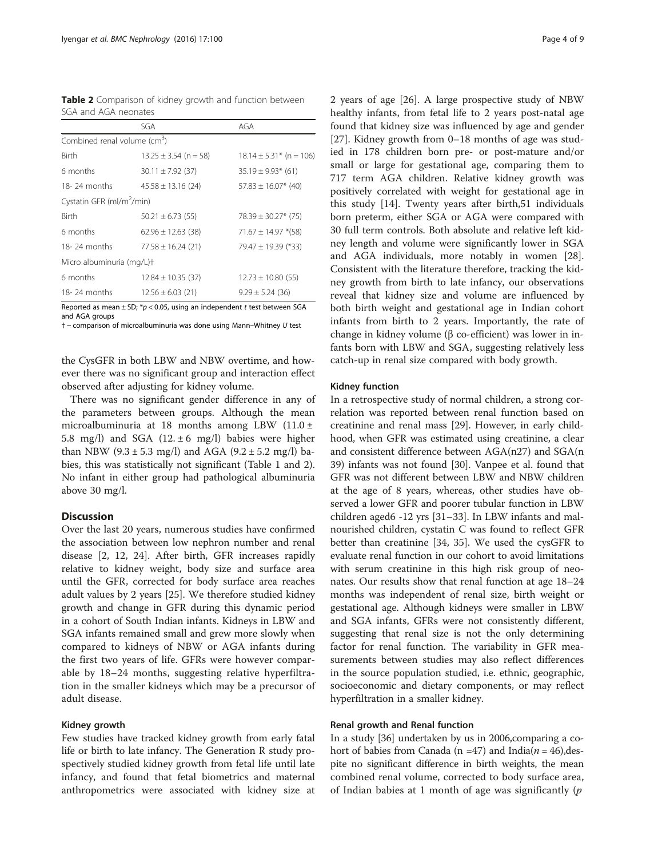<span id="page-3-0"></span>

| Table 2 Comparison of kidney growth and function between |  |  |  |
|----------------------------------------------------------|--|--|--|
| SGA and AGA neonates                                     |  |  |  |

|                                          | SGA                       | AGA                         |  |  |  |  |
|------------------------------------------|---------------------------|-----------------------------|--|--|--|--|
| Combined renal volume (cm <sup>3</sup> ) |                           |                             |  |  |  |  |
| <b>Birth</b>                             | $13.25 \pm 3.54$ (n = 58) | $18.14 \pm 5.31*$ (n = 106) |  |  |  |  |
| 6 months                                 | $30.11 \pm 7.92$ (37)     | $35.19 \pm 9.93*$ (61)      |  |  |  |  |
| $18-24$ months                           | $45.58 \pm 13.16$ (24)    | $57.83 \pm 16.07$ * (40)    |  |  |  |  |
| Cystatin GFR (ml/m <sup>2</sup> /min)    |                           |                             |  |  |  |  |
| <b>Birth</b>                             | $50.21 \pm 6.73$ (55)     | $78.39 \pm 30.27$ * (75)    |  |  |  |  |
| 6 months                                 | $62.96 \pm 12.63$ (38)    | $71.67 \pm 14.97$ *(58)     |  |  |  |  |
| $18-24$ months                           | $77.58 \pm 16.24$ (21)    | $79.47 \pm 19.39$ (*33)     |  |  |  |  |
| Micro albuminuria (mg/L)t                |                           |                             |  |  |  |  |
| 6 months                                 | $12.84 \pm 10.35$ (37)    | $12.73 \pm 10.80$ (55)      |  |  |  |  |
| $18-24$ months                           | $12.56 \pm 6.03$ (21)     | $9.29 \pm 5.24$ (36)        |  |  |  |  |

Reported as mean  $\pm$  SD;  $*p$  < 0.05, using an independent t test between SGA and AGA groups

† <sup>−</sup> comparison of microalbuminuria was done using Mann–Whitney U test

the CysGFR in both LBW and NBW overtime, and however there was no significant group and interaction effect observed after adjusting for kidney volume.

There was no significant gender difference in any of the parameters between groups. Although the mean microalbuminuria at 18 months among LBW (11.0 ± 5.8 mg/l) and SGA (12.  $\pm$  6 mg/l) babies were higher than NBW (9.3  $\pm$  5.3 mg/l) and AGA (9.2  $\pm$  5.2 mg/l) babies, this was statistically not significant (Table [1](#page-2-0) and 2). No infant in either group had pathological albuminuria above 30 mg/l.

## **Discussion**

Over the last 20 years, numerous studies have confirmed the association between low nephron number and renal disease [[2,](#page-7-0) [12, 24\]](#page-8-0). After birth, GFR increases rapidly relative to kidney weight, body size and surface area until the GFR, corrected for body surface area reaches adult values by 2 years [[25](#page-8-0)]. We therefore studied kidney growth and change in GFR during this dynamic period in a cohort of South Indian infants. Kidneys in LBW and SGA infants remained small and grew more slowly when compared to kidneys of NBW or AGA infants during the first two years of life. GFRs were however comparable by 18–24 months, suggesting relative hyperfiltration in the smaller kidneys which may be a precursor of adult disease.

## Kidney growth

Few studies have tracked kidney growth from early fatal life or birth to late infancy. The Generation R study prospectively studied kidney growth from fetal life until late infancy, and found that fetal biometrics and maternal anthropometrics were associated with kidney size at 2 years of age [[26\]](#page-8-0). A large prospective study of NBW healthy infants, from fetal life to 2 years post-natal age found that kidney size was influenced by age and gender [[27\]](#page-8-0). Kidney growth from 0–18 months of age was studied in 178 children born pre- or post-mature and/or small or large for gestational age, comparing them to 717 term AGA children. Relative kidney growth was positively correlated with weight for gestational age in this study [\[14\]](#page-8-0). Twenty years after birth,51 individuals born preterm, either SGA or AGA were compared with 30 full term controls. Both absolute and relative left kidney length and volume were significantly lower in SGA and AGA individuals, more notably in women [\[28](#page-8-0)]. Consistent with the literature therefore, tracking the kidney growth from birth to late infancy, our observations reveal that kidney size and volume are influenced by both birth weight and gestational age in Indian cohort infants from birth to 2 years. Importantly, the rate of change in kidney volume (β co-efficient) was lower in infants born with LBW and SGA, suggesting relatively less catch-up in renal size compared with body growth.

## Kidney function

In a retrospective study of normal children, a strong correlation was reported between renal function based on creatinine and renal mass [\[29\]](#page-8-0). However, in early childhood, when GFR was estimated using creatinine, a clear and consistent difference between AGA(n27) and SGA(n 39) infants was not found [\[30\]](#page-8-0). Vanpee et al. found that GFR was not different between LBW and NBW children at the age of 8 years, whereas, other studies have observed a lower GFR and poorer tubular function in LBW children aged6 -12 yrs [[31](#page-8-0)–[33](#page-8-0)]. In LBW infants and malnourished children, cystatin C was found to reflect GFR better than creatinine [\[34](#page-8-0), [35](#page-8-0)]. We used the cysGFR to evaluate renal function in our cohort to avoid limitations with serum creatinine in this high risk group of neonates. Our results show that renal function at age 18–24 months was independent of renal size, birth weight or gestational age. Although kidneys were smaller in LBW and SGA infants, GFRs were not consistently different, suggesting that renal size is not the only determining factor for renal function. The variability in GFR measurements between studies may also reflect differences in the source population studied, i.e. ethnic, geographic, socioeconomic and dietary components, or may reflect hyperfiltration in a smaller kidney.

## Renal growth and Renal function

In a study [\[36](#page-8-0)] undertaken by us in 2006,comparing a cohort of babies from Canada (n =47) and India( $n = 46$ ), despite no significant difference in birth weights, the mean combined renal volume, corrected to body surface area, of Indian babies at 1 month of age was significantly  $(p)$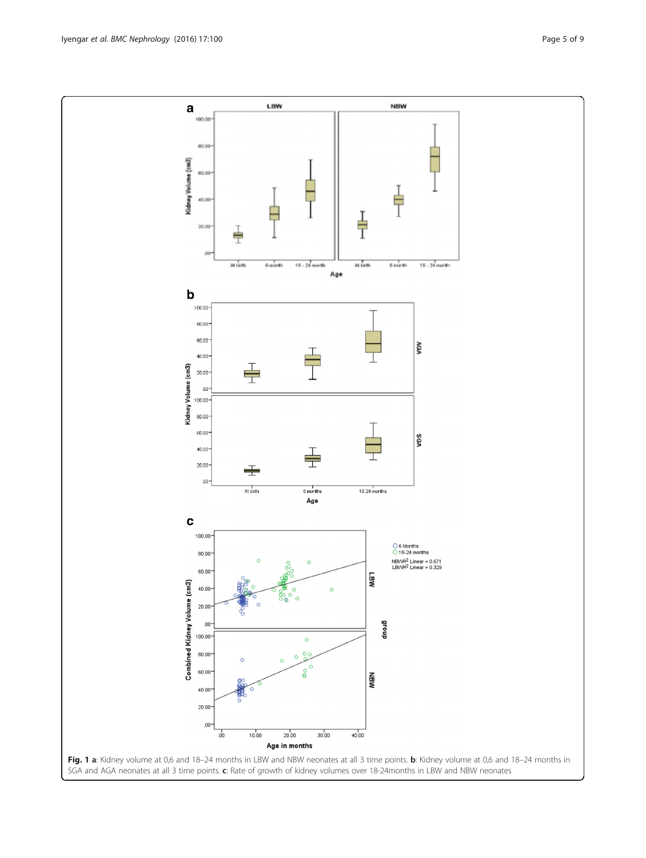<span id="page-4-0"></span>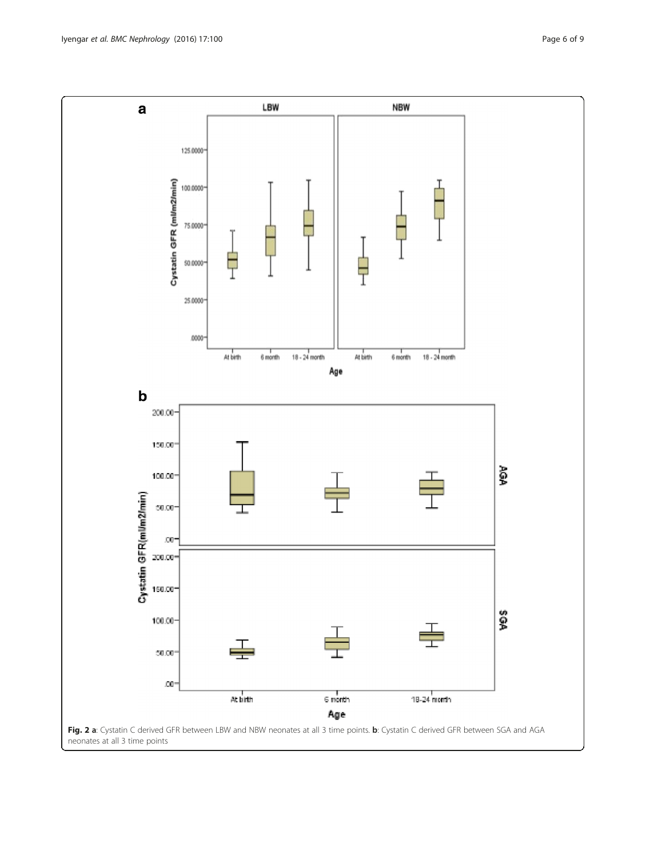<span id="page-5-0"></span>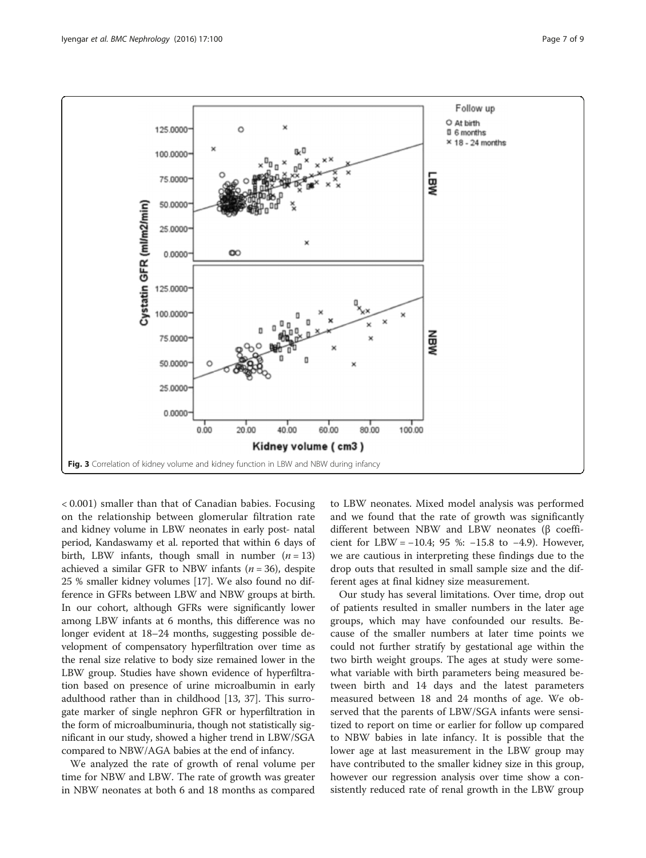<span id="page-6-0"></span>

< 0.001) smaller than that of Canadian babies. Focusing on the relationship between glomerular filtration rate and kidney volume in LBW neonates in early post- natal period, Kandaswamy et al. reported that within 6 days of birth, LBW infants, though small in number  $(n = 13)$ achieved a similar GFR to NBW infants ( $n = 36$ ), despite 25 % smaller kidney volumes [[17](#page-8-0)]. We also found no difference in GFRs between LBW and NBW groups at birth. In our cohort, although GFRs were significantly lower among LBW infants at 6 months, this difference was no longer evident at 18–24 months, suggesting possible development of compensatory hyperfiltration over time as the renal size relative to body size remained lower in the LBW group. Studies have shown evidence of hyperfiltration based on presence of urine microalbumin in early adulthood rather than in childhood [[13, 37](#page-8-0)]. This surrogate marker of single nephron GFR or hyperfiltration in the form of microalbuminuria, though not statistically significant in our study, showed a higher trend in LBW/SGA compared to NBW/AGA babies at the end of infancy.

We analyzed the rate of growth of renal volume per time for NBW and LBW. The rate of growth was greater in NBW neonates at both 6 and 18 months as compared to LBW neonates. Mixed model analysis was performed and we found that the rate of growth was significantly different between NBW and LBW neonates (β coefficient for LBW =  $-10.4$ ; 95 %:  $-15.8$  to  $-4.9$ ). However, we are cautious in interpreting these findings due to the drop outs that resulted in small sample size and the different ages at final kidney size measurement.

Our study has several limitations. Over time, drop out of patients resulted in smaller numbers in the later age groups, which may have confounded our results. Because of the smaller numbers at later time points we could not further stratify by gestational age within the two birth weight groups. The ages at study were somewhat variable with birth parameters being measured between birth and 14 days and the latest parameters measured between 18 and 24 months of age. We observed that the parents of LBW/SGA infants were sensitized to report on time or earlier for follow up compared to NBW babies in late infancy. It is possible that the lower age at last measurement in the LBW group may have contributed to the smaller kidney size in this group, however our regression analysis over time show a consistently reduced rate of renal growth in the LBW group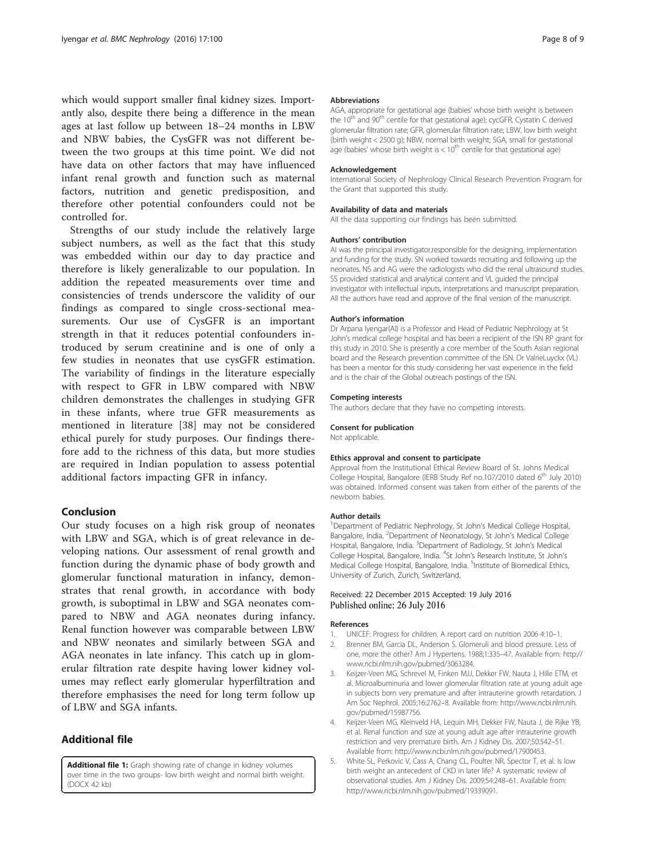<span id="page-7-0"></span>which would support smaller final kidney sizes. Importantly also, despite there being a difference in the mean ages at last follow up between 18–24 months in LBW and NBW babies, the CysGFR was not different between the two groups at this time point. We did not have data on other factors that may have influenced infant renal growth and function such as maternal factors, nutrition and genetic predisposition, and therefore other potential confounders could not be controlled for.

Strengths of our study include the relatively large subject numbers, as well as the fact that this study was embedded within our day to day practice and therefore is likely generalizable to our population. In addition the repeated measurements over time and consistencies of trends underscore the validity of our findings as compared to single cross-sectional measurements. Our use of CysGFR is an important strength in that it reduces potential confounders introduced by serum creatinine and is one of only a few studies in neonates that use cysGFR estimation. The variability of findings in the literature especially with respect to GFR in LBW compared with NBW children demonstrates the challenges in studying GFR in these infants, where true GFR measurements as mentioned in literature [\[38](#page-8-0)] may not be considered ethical purely for study purposes. Our findings therefore add to the richness of this data, but more studies are required in Indian population to assess potential additional factors impacting GFR in infancy.

## Conclusion

Our study focuses on a high risk group of neonates with LBW and SGA, which is of great relevance in developing nations. Our assessment of renal growth and function during the dynamic phase of body growth and glomerular functional maturation in infancy, demonstrates that renal growth, in accordance with body growth, is suboptimal in LBW and SGA neonates compared to NBW and AGA neonates during infancy. Renal function however was comparable between LBW and NBW neonates and similarly between SGA and AGA neonates in late infancy. This catch up in glomerular filtration rate despite having lower kidney volumes may reflect early glomerular hyperfiltration and therefore emphasises the need for long term follow up of LBW and SGA infants.

## Additional file

[Additional file 1:](dx.doi.org/10.1186/s12882-016-0314-7) Graph showing rate of change in kidney volumes over time in the two groups- low birth weight and normal birth weight. (DOCX 42 kb)

#### Abbreviations

AGA, appropriate for gestational age (babies' whose birth weight is between the  $10^{th}$  and  $90^{th}$  centile for that gestational age); cycGFR, Cystatin C derived glomerular filtration rate; GFR, glomerular filtration rate; LBW, low birth weight (birth weight < 2500 g); NBW, normal birth weight; SGA, small for gestational age (babies' whose birth weight is  $< 10<sup>th</sup>$  centile for that gestational age)

#### Acknowledgement

International Society of Nephrology Clinical Research Prevention Program for the Grant that supported this study.

#### Availability of data and materials

All the data supporting our findings has been submitted.

#### Authors' contribution

AI was the principal investigator,responsible for the designing, implementation and funding for the study. SN worked towards recruiting and following up the neonates. NS and AG were the radiologists who did the renal ultrasound studies. SS provided statistical and analytical content and VL guided the principal investigator with intellectual inputs, interpretations and manuscript preparation. All the authors have read and approve of the final version of the manuscript.

#### Author's information

Dr Arpana Iyengar(AI) is a Professor and Head of Pediatric Nephrology at St John's medical college hospital and has been a recipient of the ISN RP grant for this study in 2010. She is presently a core member of the South Asian regional board and the Research prevention committee of the ISN. Dr ValrieLuyckx (VL) has been a mentor for this study considering her vast experience in the field and is the chair of the Global outreach postings of the ISN.

#### Competing interests

The authors declare that they have no competing interests.

## Consent for publication

Not applicable.

#### Ethics approval and consent to participate

Approval from the Institutional Ethical Review Board of St. Johns Medical College Hospital, Bangalore (IERB Study Ref no.107/2010 dated 6<sup>th</sup> July 2010) was obtained. Informed consent was taken from either of the parents of the newborn babies.

#### Author details

<sup>1</sup>Department of Pediatric Nephrology, St John's Medical College Hospital, Bangalore, India. <sup>2</sup>Department of Neonatology, St John's Medical College Hospital, Bangalore, India. <sup>3</sup>Department of Radiology, St John's Medical College Hospital, Bangalore, India. <sup>4</sup>St John's Research Institute, St John's Medical College Hospital, Bangalore, India. <sup>5</sup>Institute of Biomedical Ethics, University of Zurich, Zurich, Switzerland.

### Received: 22 December 2015 Accepted: 19 July 2016 Published online: 26 July 2016

#### References

- 1. UNICEF: Progress for children. A report card on nutrition 2006 4:10–1.
- 2. Brenner BM, Garcia DL, Anderson S. Glomeruli and blood pressure. Less of one, more the other? Am J Hypertens. 1988;1:335–47. Available from: [http://](http://www.ncbi.nlm.nih.gov/pubmed/3063284) [www.ncbi.nlm.nih.gov/pubmed/3063284](http://www.ncbi.nlm.nih.gov/pubmed/3063284).
- 3. Keijzer-Veen MG, Schrevel M, Finken MJJ, Dekker FW, Nauta J, Hille ETM, et al. Microalbuminuria and lower glomerular filtration rate at young adult age in subjects born very premature and after intrauterine growth retardation. J Am Soc Nephrol. 2005;16:2762–8. Available from: [http://www.ncbi.nlm.nih.](http://www.ncbi.nlm.nih.gov/pubmed/15987756) [gov/pubmed/15987756](http://www.ncbi.nlm.nih.gov/pubmed/15987756).
- 4. Keijzer-Veen MG, Kleinveld HA, Lequin MH, Dekker FW, Nauta J, de Rijke YB, et al. Renal function and size at young adult age after intrauterine growth restriction and very premature birth. Am J Kidney Dis. 2007;50:542–51. Available from:<http://www.ncbi.nlm.nih.gov/pubmed/17900453>.
- 5. White SL, Perkovic V, Cass A, Chang CL, Poulter NR, Spector T, et al. Is low birth weight an antecedent of CKD in later life? A systematic review of observational studies. Am J Kidney Dis. 2009;54:248–61. Available from: [http://www.ncbi.nlm.nih.gov/pubmed/19339091.](http://www.ncbi.nlm.nih.gov/pubmed/19339091)